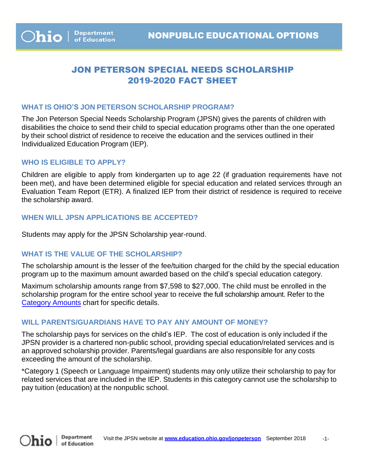# JON PETERSON SPECIAL NEEDS SCHOLARSHIP 2019-2020 FACT SHEET

### **WHAT IS OHIO'S JON PETERSON SCHOLARSHIP PROGRAM?**

The Jon Peterson Special Needs Scholarship Program (JPSN) gives the parents of children with disabilities the choice to send their child to special education programs other than the one operated by their school district of residence to receive the education and the services outlined in their Individualized Education Program (IEP).

#### **WHO IS ELIGIBLE TO APPLY?**

Children are eligible to apply from kindergarten up to age 22 (if graduation requirements have not been met), and have been determined eligible for special education and related services through an Evaluation Team Report (ETR). A finalized IEP from their district of residence is required to receive the scholarship award.

#### **WHEN WILL JPSN APPLICATIONS BE ACCEPTED?**

Students may apply for the JPSN Scholarship year-round.

## **WHAT IS THE VALUE OF THE SCHOLARSHIP?**

The scholarship amount is the lesser of the fee/tuition charged for the child by the special education program up to the maximum amount awarded based on the child's special education category.

Maximum scholarship amounts range from \$7,598 to \$27,000. The child must be enrolled in the scholarship program for the entire school year to receive the full scholarship amount. Refer to the [Category Amounts chart](http://education.ohio.gov/Topics/Other-Resources/Scholarships/Special-Needs-Scholarship/Jon-Peterson-Scholarship-Check-Your-Eligibility) for specific details.

## **WILL PARENTS/GUARDIANS HAVE TO PAY ANY AMOUNT OF MONEY?**

The scholarship pays for services on the child's IEP. The cost of education is only included if the JPSN provider is a chartered non-public school, providing special education/related services and is an approved scholarship provider. Parents/legal guardians are also responsible for any costs exceeding the amount of the scholarship.

\*Category 1 (Speech or Language Impairment) students may only utilize their scholarship to pay for related services that are included in the IEP. Students in this category cannot use the scholarship to pay tuition (education) at the nonpublic school.